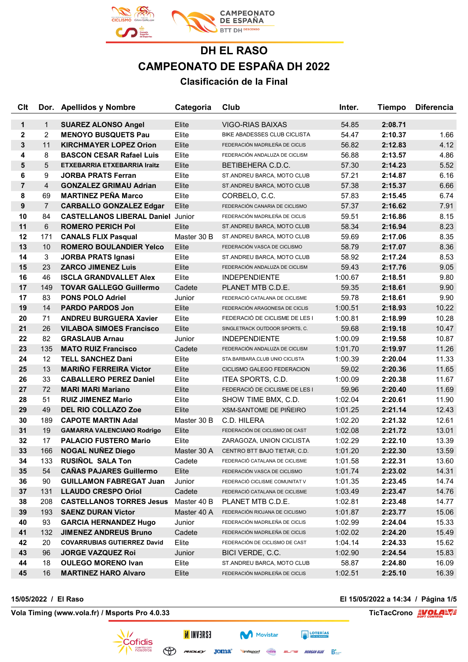

| Clt            |                 | Dor. Apellidos y Nombre                  | Categoria   | Club                                     | Inter.  | <b>Tiempo</b> | <b>Diferencia</b> |
|----------------|-----------------|------------------------------------------|-------------|------------------------------------------|---------|---------------|-------------------|
| $\mathbf{1}$   | $\mathbf{1}$    | <b>SUAREZ ALONSO Angel</b>               | Elite       | VIGO-RIAS BAIXAS                         | 54.85   | 2:08.71       |                   |
| 2              | $\overline{2}$  | <b>MENOYO BUSQUETS Pau</b>               | Elite       | BIKE ABADESSES CLUB CICLISTA             | 54.47   | 2:10.37       | 1.66              |
| 3              | 11              | <b>KIRCHMAYER LOPEZ Orion</b>            | Elite       | FEDERACIÓN MADRILEÑA DE CICLIS           | 56.82   | 2:12.83       | 4.12              |
| 4              | 8               | <b>BASCON CESAR Rafael Luis</b>          | Elite       | FEDERACIÓN ANDALUZA DE CICLISM           | 56.88   | 2:13.57       | 4.86              |
| 5              | 5               | ETXEBARRIA ETXEBARRIA Iraitz             | Elite       | BETIBEHERA C.D.C.                        | 57.30   | 2:14.23       | 5.52              |
| 6              | 9               | <b>JORBA PRATS Ferran</b>                | Elite       | ST.ANDREU BARCA, MOTO CLUB               | 57.21   | 2:14.87       | 6.16              |
| $\overline{7}$ | $\overline{4}$  | <b>GONZALEZ GRIMAU Adrian</b>            | Elite       | ST.ANDREU BARCA, MOTO CLUB               | 57.38   | 2:15.37       | 6.66              |
| 8              | 69              | <b>MARTINEZ PEÑA Marco</b>               | Elite       | CORBELO, C.C.                            | 57.83   | 2:15.45       | 6.74              |
| 9              | $\overline{7}$  | <b>CARBALLO GONZALEZ Edgar</b>           | Elite       | FEDERACIÓN CANARIA DE CICLISMO           | 57.37   | 2:16.62       | 7.91              |
| 10             | 84              | <b>CASTELLANOS LIBERAL Daniel Junior</b> |             | FEDERACIÓN MADRILEÑA DE CICLIS           | 59.51   | 2:16.86       | 8.15              |
| 11             | 6               | <b>ROMERO PERICH Pol</b>                 | Elite       | ST.ANDREU BARCA, MOTO CLUB               | 58.34   | 2:16.94       | 8.23              |
| 12             | 171             | <b>CANALS FLIX Pasqual</b>               | Master 30 B | ST.ANDREU BARCA, MOTO CLUB               | 59.69   | 2:17.06       | 8.35              |
| 13             | 10              | <b>ROMERO BOULANDIER Yelco</b>           | Elite       | FEDERACIÓN VASCA DE CICLISMO             | 58.79   | 2:17.07       | 8.36              |
| 14             | $\mathbf{3}$    | <b>JORBA PRATS Ignasi</b>                | Elite       | ST.ANDREU BARCA, MOTO CLUB               | 58.92   | 2:17.24       | 8.53              |
| 15             | 23              | <b>ZARCO JIMENEZ Luis</b>                | Elite       | FEDERACIÓN ANDALUZA DE CICLISM           | 59.43   | 2:17.76       | 9.05              |
| 16             | 46              | <b>ISCLA GRANDVALLET Alex</b>            | Elite       | <b>INDEPENDIENTE</b>                     | 1:00.67 | 2:18.51       | 9.80              |
| 17             | 149             | <b>TOVAR GALLEGO Guillermo</b>           | Cadete      | PLANET MTB C.D.E.                        | 59.35   | 2:18.61       | 9.90              |
| 17             | 83              | <b>PONS POLO Adriel</b>                  | Junior      | FEDERACIÓ CATALANA DE CICLISME           | 59.78   | 2:18.61       | 9.90              |
| 19             | 14              | <b>PARDO PARDOS Jon</b>                  | Elite       | FEDERACIÓN ARAGONESA DE CICLIS           | 1:00.51 | 2:18.93       | 10.22             |
| 20             | 71              | <b>ANDREU BURGUERA Xavier</b>            | Elite       | FEDERACIÓ DE CICLISME DE LES I           | 1:00.81 | 2:18.99       | 10.28             |
| 21             | 26              | <b>VILABOA SIMOES Francisco</b>          | Elite       | SINGLETRACK OUTDOOR SPORTS, C.           | 59.68   | 2:19.18       | 10.47             |
| 22             | 82              | <b>GRASLAUB Arnau</b>                    | Junior      | <b>INDEPENDIENTE</b>                     | 1:00.09 | 2:19.58       | 10.87             |
| 23             | 135             | <b>MATO RUIZ Francisco</b>               | Cadete      | FEDERACIÓN ANDALUZA DE CICLISM           | 1:01.70 | 2:19.97       | 11.26             |
| 24             | 12 <sup>°</sup> | <b>TELL SANCHEZ Dani</b>                 | Elite       | STA.BARBARA, CLUB UNIO CICLISTA          | 1:00.39 | 2:20.04       | 11.33             |
| 25             | 13              | <b>MARIÑO FERREIRA Victor</b>            | Elite       | CICLISMO GALEGO FEDERACION               | 59.02   | 2:20.36       | 11.65             |
| 26             | 33              | <b>CABALLERO PEREZ Daniel</b>            | Elite       | ITEA SPORTS, C.D.                        | 1:00.09 | 2:20.38       | 11.67             |
| 27             | 72              | <b>MARI MARI Mariano</b>                 | Elite       | FEDERACIÓ DE CICLISME DE LES I           | 59.96   | 2:20.40       | 11.69             |
| 28             | 51              | <b>RUIZ JIMENEZ Mario</b>                | Elite       | SHOW TIME BMX, C.D.                      | 1:02.04 | 2:20.61       | 11.90             |
| 29             | 49              | <b>DEL RIO COLLAZO Zoe</b>               | Elite       | <b>XSM-SANTOME DE PIÑEIRO</b>            | 1:01.25 | 2:21.14       | 12.43             |
| 30             | 189             | <b>CAPOTE MARTIN Adal</b>                | Master 30 B | C.D. HILERA                              | 1:02.20 | 2:21.32       | 12.61             |
| 31             | 19              | <b>GAMARRA VALENCIANO Rodrigo</b>        | Elite       | FEDERACIÓN DE CICLISMO DE CAST           | 1:02.08 | 2:21.72       | 13.01             |
| 32             | 17              | <b>PALACIO FUSTERO Mario</b>             | Elite       | ZARAGOZA, UNION CICLISTA                 | 1:02.29 | 2:22.10       | 13.39             |
| 33             |                 | 166 NOGAL NUÑEZ Diego                    |             | Master 30 A CENTRO BTT BAJO TIETAR, C.D. | 1:01.20 | 2:22.30       | 13.59             |
| 34             | 133             | <b>RUSIÑOL SALA Ton</b>                  | Cadete      | FEDERACIÓ CATALANA DE CICLISME           | 1:01.58 | 2:22.31       | 13.60             |
| 35             | 54              | <b>CAÑAS PAJARES Guillermo</b>           | Elite       | FEDERACIÓN VASCA DE CICLISMO             | 1:01.74 | 2:23.02       | 14.31             |
| 36             | 90              | <b>GUILLAMON FABREGAT Juan</b>           | Junior      | FEDERACIÓ CICLISME COMUNITAT V           | 1:01.35 | 2:23.45       | 14.74             |
| 37             | 131             | <b>LLAUDO CRESPO Oriol</b>               | Cadete      | FEDERACIÓ CATALANA DE CICLISME           | 1:03.49 | 2:23.47       | 14.76             |
| 38             | 208             | <b>CASTELLANOS TORRES Jesus</b>          | Master 40 B | PLANET MTB C.D.E.                        | 1:02.81 | 2:23.48       | 14.77             |
| 39             | 193             | <b>SAENZ DURAN Victor</b>                | Master 40 A | FEDERACIÓN RIOJANA DE CICLISMO           | 1:01.87 | 2:23.77       | 15.06             |
| 40             | 93              | <b>GARCIA HERNANDEZ Hugo</b>             | Junior      | FEDERACIÓN MADRILEÑA DE CICLIS           | 1:02.99 | 2:24.04       | 15.33             |
| 41             | 132             | <b>JIMENEZ ANDREUS Bruno</b>             | Cadete      | FEDERACIÓN MADRILEÑA DE CICLIS           | 1:02.02 | 2:24.20       | 15.49             |
| 42             | 20              | <b>COVARRUBIAS GUTIERREZ David</b>       | Elite       | FEDERACIÓN DE CICLISMO DE CAST           | 1:04.14 | 2:24.33       | 15.62             |
| 43             | 96              | <b>JORGE VAZQUEZ Roi</b>                 | Junior      | BICI VERDE, C.C.                         | 1:02.90 | 2:24.54       | 15.83             |
| 44             | 18              | <b>OULEGO MORENO Ivan</b>                | Elite       | ST.ANDREU BARCA, MOTO CLUB               | 58.87   | 2:24.80       | 16.09             |
| 45             | 16              | <b>MARTINEZ HARO Alvaro</b>              | Elite       | FEDERACIÓN MADRILEÑA DE CICLIS           | 1:02.51 | 2:25.10       | 16.39             |

**15/05/2022 / El Raso El 15/05/2022 a 14:34 / Página 1/5**

**Vola Timing (www.vola.fr) / Msports Pro 4.0.33 TicTacCrono EVOLAEVE** 



**ESAEVNI N** 

 $\bigoplus$ 

Movistar

**Vinfisport** Cazoria

**EXECUTERIAS** 

 $=$  $-17$  $=$  MORGAN BLUE  $\sum_{\text{max}}$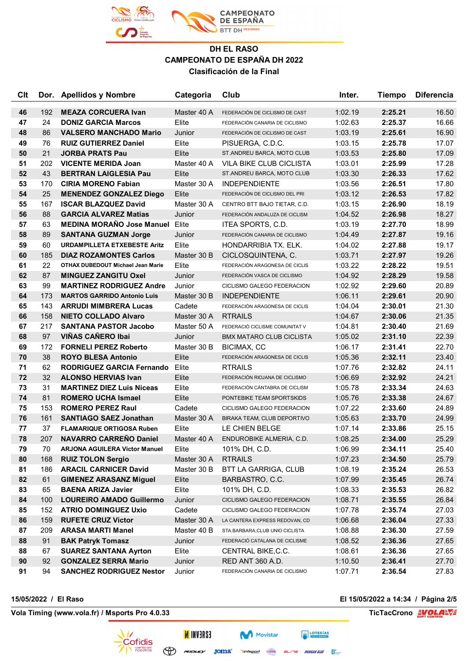

| Clt |     | Dor. Apellidos y Nombre                  | Categoria   | Club                            | Inter.  | <b>Tiempo</b> | <b>Diferencia</b> |
|-----|-----|------------------------------------------|-------------|---------------------------------|---------|---------------|-------------------|
| 46  | 192 | <b>MEAZA CORCUERA Ivan</b>               | Master 40 A | FEDERACIÓN DE CICLISMO DE CAST  | 1:02.19 | 2:25.21       | 16.50             |
| 47  | 24  | <b>DONIZ GARCIA Marcos</b>               | Elite       | FEDERACIÓN CANARIA DE CICLISMO  | 1:02.63 | 2:25.37       | 16.66             |
| 48  | 86  | <b>VALSERO MANCHADO Mario</b>            | Junior      | FEDERACIÓN DE CICLISMO DE CAST  | 1:03.19 | 2:25.61       | 16.90             |
| 49  | 76  | <b>RUIZ GUTIERREZ Daniel</b>             | Elite       | PISUERGA, C.D.C.                | 1:03.15 | 2:25.78       | 17.07             |
| 50  | 21  | <b>JORBA PRATS Pau</b>                   | Elite       | ST.ANDREU BARCA, MOTO CLUB      | 1:03.53 | 2:25.80       | 17.09             |
| 51  | 202 | <b>VICENTE MERIDA Joan</b>               | Master 40 A | VILA BIKE CLUB CICLISTA         | 1:03.01 | 2:25.99       | 17.28             |
| 52  | 43  | <b>BERTRAN LAIGLESIA Pau</b>             | Elite       | ST.ANDREU BARCA, MOTO CLUB      | 1:03.30 | 2:26.33       | 17.62             |
| 53  | 170 | <b>CIRIA MORENO Fabian</b>               | Master 30 A | <b>INDEPENDIENTE</b>            | 1:03.56 | 2:26.51       | 17.80             |
| 54  | 25  | <b>MENENDEZ GONZALEZ Diego</b>           | Elite       | FEDERACIÓN DE CICLISMO DEL PRI  | 1:03.12 | 2:26.53       | 17.82             |
| 55  | 167 | <b>ISCAR BLAZQUEZ David</b>              | Master 30 A | CENTRO BTT BAJO TIETAR, C.D.    | 1:03.15 | 2:26.90       | 18.19             |
| 56  | 88  | <b>GARCIA ALVAREZ Matias</b>             | Junior      | FEDERACIÓN ANDALUZA DE CICLISM  | 1:04.52 | 2:26.98       | 18.27             |
| 57  | 63  | <b>MEDINA MORAÑO Jose Manuel</b>         | Elite       | ITEA SPORTS, C.D.               | 1:03.19 | 2:27.70       | 18.99             |
| 58  | 89  | <b>SANTANA GUZMAN Jorge</b>              | Junior      | FEDERACIÓN CANARIA DE CICLISMO  | 1:04.49 | 2:27.87       | 19.16             |
| 59  | 60  | <b>URDAMPILLETA ETXEBESTE Aritz</b>      | Elite       | HONDARRIBIA TX. ELK.            | 1:04.02 | 2:27.88       | 19.17             |
| 60  | 185 | <b>DIAZ ROZAMONTES Carlos</b>            | Master 30 B | CICLOSQUINTENA, C.              | 1:03.71 | 2:27.97       | 19.26             |
| 61  | 22  | <b>OTHAX DUBEDOUT Michael Jean Marie</b> | Elite       | FEDERACIÓN ARAGONESA DE CICLIS  | 1:03.22 | 2:28.22       | 19.51             |
| 62  | 87  | <b>MINGUEZ ZANGITU Oxel</b>              | Junior      | FEDERACIÓN VASCA DE CICLISMO    | 1:04.92 | 2:28.29       | 19.58             |
| 63  | 99  | <b>MARTINEZ RODRIGUEZ Andre</b>          | Junior      | CICLISMO GALEGO FEDERACION      | 1:02.92 | 2:29.60       | 20.89             |
| 64  | 173 | <b>MARTOS GARRIDO Antonio Luis</b>       | Master 30 B | <b>INDEPENDIENTE</b>            | 1:06.11 | 2:29.61       | 20.90             |
| 65  | 143 | <b>ARRUDI MIMBRERA Lucas</b>             | Cadete      | FEDERACIÓN ARAGONESA DE CICLIS  | 1:04.04 | 2:30.01       | 21.30             |
| 66  | 158 | <b>NIETO COLLADO Alvaro</b>              | Master 30 A | <b>RTRAILS</b>                  | 1:04.67 | 2:30.06       | 21.35             |
| 67  | 217 | <b>SANTANA PASTOR Jacobo</b>             | Master 50 A | FEDERACIÓ CICLISME COMUNITAT V  | 1:04.81 | 2:30.40       | 21.69             |
| 68  | 97  | <b>VIÑAS CAÑERO Ibai</b>                 | Junior      | <b>BMX MATARO CLUB CICLISTA</b> | 1:05.02 | 2:31.10       | 22.39             |
| 69  | 172 | <b>FORNELI PEREZ Roberto</b>             | Master 30 B | BICIMAX, CC                     | 1:06.17 | 2:31.41       | 22.70             |
| 70  | 38  | <b>ROYO BLESA Antonio</b>                | Elite       | FEDERACIÓN ARAGONESA DE CICLIS  | 1:05.36 | 2:32.11       | 23.40             |
| 71  | 62  | <b>RODRIGUEZ GARCIA Fernando</b>         | Elite       | <b>RTRAILS</b>                  | 1:07.76 | 2:32.82       | 24.11             |
| 72  | 32  | <b>ALONSO HERVIAS Ivan</b>               | Elite       | FEDERACIÓN RIOJANA DE CICLISMO  | 1:06.69 | 2:32.92       | 24.21             |
| 73  | 31  | <b>MARTINEZ DIEZ Luis Niceas</b>         | Elite       | FEDERACIÓN CÁNTABRA DE CICLISM  | 1:05.78 | 2:33.34       | 24.63             |
| 74  | 81  | <b>ROMERO UCHA Ismael</b>                | Elite       | PONTEBIKE TEAM SPORTSKIDS       | 1:05.76 | 2:33.38       | 24.67             |
| 75  | 153 | <b>ROMERO PEREZ Raul</b>                 | Cadete      | CICLISMO GALEGO FEDERACION      | 1:07.22 | 2:33.60       | 24.89             |
| 76  | 161 | <b>SANTIAGO SAEZ Jonathan</b>            | Master 30 A | BIRAKA TEAM, CLUB DEPORTIVO     | 1:05.63 | 2:33.70       | 24.99             |
| 77  | 37  | <b>FLAMARIQUE ORTIGOSA Ruben</b>         | Elite       | LE CHIEN BELGE                  | 1:07.14 | 2:33.86       | 25.15             |
| 78  | 207 | <b>NAVARRO CARREÑO Daniel</b>            | Master 40 A | ENDUROBIKE ALMERIA, C.D.        | 1:08.25 | 2:34.00       | 25.29             |
| 79  | 70  | <b>ARJONA AGUILERA Victor Manuel</b>     | Elite       | 101% DH, C.D.                   | 1:06.99 | 2:34.11       | 25.40             |
| 80  | 168 | <b>RUIZ TOLON Sergio</b>                 | Master 30 A | <b>RTRAILS</b>                  | 1:07.23 | 2:34.50       | 25.79             |
| 81  | 186 | <b>ARACIL CARNICER David</b>             | Master 30 B | BTT LA GARRIGA, CLUB            | 1:08.19 | 2:35.24       | 26.53             |
| 82  | 61  | <b>GIMENEZ ARASANZ Miguel</b>            | Elite       | BARBASTRO, C.C.                 | 1:07.99 | 2:35.45       | 26.74             |
| 83  | 65  | <b>BAENA ARIZA Javier</b>                | Elite       | 101% DH, C.D.                   | 1:08.33 | 2:35.53       | 26.82             |
| 84  | 100 | <b>LOUREIRO AMADO Guillermo</b>          | Junior      | CICLISMO GALEGO FEDERACION      | 1:08.71 | 2:35.55       | 26.84             |
| 85  | 152 | <b>ATRIO DOMINGUEZ Uxio</b>              | Cadete      | CICLISMO GALEGO FEDERACION      | 1:07.78 | 2:35.74       | 27.03             |
| 86  | 159 | <b>RUFETE CRUZ Victor</b>                | Master 30 A | LA CANTERA EXPRESS REDOVAN, CD  | 1:06.68 | 2:36.04       | 27.33             |
| 87  | 209 | <b>ARASA MARTI Manel</b>                 | Master 40 B | STA.BARBARA, CLUB UNIO CICLISTA | 1:08.88 | 2:36.30       | 27.59             |
| 88  | 91  | <b>BAK Patryk Tomasz</b>                 | Junior      | FEDERACIÓ CATALANA DE CICLISME  | 1:08.52 | 2:36.36       | 27.65             |
| 88  | 67  | <b>SUAREZ SANTANA Ayrton</b>             | Elite       | CENTRAL BIKE, C.C.              | 1:08.61 | 2:36.36       | 27.65             |
| 90  | 92  | <b>GONZALEZ SERRA Mario</b>              | Junior      | RED ANT 360 A.D.                | 1:10.50 | 2:36.41       | 27.70             |
| 91  | 94  | <b>SANCHEZ RODRIGUEZ Nestor</b>          | Junior      | FEDERACIÓN CANARIA DE CICLISMO  | 1:07.71 | 2:36.54       | 27.83             |

**15/05/2022 / El Raso El 15/05/2022 a 14:34 / Página 2/5**

**Vola Timing (www.vola.fr) / Msports Pro 4.0.33 TicTacCrono EVOLAL** 



**INVERSE** 

Joma<sup>®</sup> **Vinfisport** Cazoria ELITE MORGAN BLUE BEAT

**EXECUTERIAS** Movistar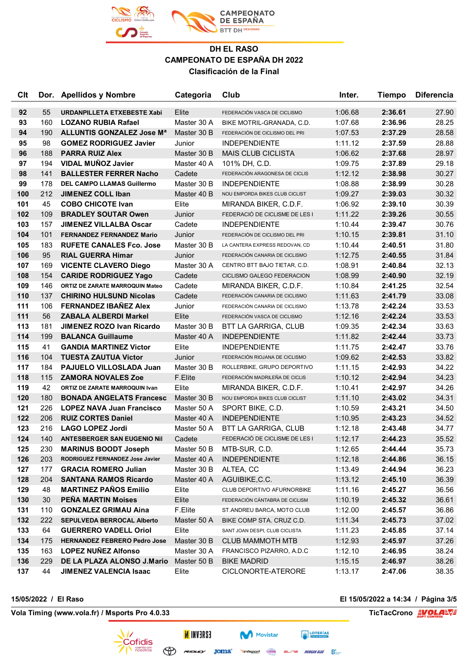

| Clt |     | Dor. Apellidos y Nombre                | Categoria   | Club                           | Inter.  | <b>Tiempo</b> | <b>Diferencia</b> |
|-----|-----|----------------------------------------|-------------|--------------------------------|---------|---------------|-------------------|
| 92  | 55  | URDANPILLETA ETXEBESTE Xabi            | Elite       | FEDERACIÓN VASCA DE CICLISMO   | 1:06.68 | 2:36.61       | 27.90             |
| 93  | 160 | <b>LOZANO RUBIA Rafael</b>             | Master 30 A | BIKE MOTRIL-GRANADA, C.D.      | 1:07.68 | 2:36.96       | 28.25             |
| 94  | 190 | ALLUNTIS GONZALEZ Jose Ma              | Master 30 B | FEDERACIÓN DE CICLISMO DEL PRI | 1:07.53 | 2:37.29       | 28.58             |
| 95  | 98  | <b>GOMEZ RODRIGUEZ Javier</b>          | Junior      | <b>INDEPENDIENTE</b>           | 1:11.12 | 2:37.59       | 28.88             |
| 96  | 188 | <b>PARRA RUIZ Alex</b>                 | Master 30 B | <b>MAIS CLUB CICLISTA</b>      | 1:06.62 | 2:37.68       | 28.97             |
| 97  | 194 | <b>VIDAL MUÑOZ Javier</b>              | Master 40 A | 101% DH, C.D.                  | 1:09.75 | 2:37.89       | 29.18             |
| 98  | 141 | <b>BALLESTER FERRER Nacho</b>          | Cadete      | FEDERACIÓN ARAGONESA DE CICLIS | 1:12.12 | 2:38.98       | 30.27             |
| 99  | 178 | <b>DEL CAMPO LLAMAS Guillermo</b>      | Master 30 B | <b>INDEPENDIENTE</b>           | 1:08.88 | 2:38.99       | 30.28             |
| 100 | 212 | <b>JIMENEZ COLL Iban</b>               | Master 40 B | NOU EMPORDA BIKES CLUB CICLIST | 1:09.27 | 2:39.03       | 30.32             |
| 101 | 45  | <b>COBO CHICOTE Ivan</b>               | Elite       | MIRANDA BIKER, C.D.F.          | 1:06.92 | 2:39.10       | 30.39             |
| 102 | 109 | <b>BRADLEY SOUTAR Owen</b>             | Junior      | FEDERACIÓ DE CICLISME DE LES I | 1:11.22 | 2:39.26       | 30.55             |
| 103 | 157 | <b>JIMENEZ VILLALBA Oscar</b>          | Cadete      | <b>INDEPENDIENTE</b>           | 1:10.44 | 2:39.47       | 30.76             |
| 104 | 101 | <b>FERNANDEZ FERNANDEZ Mario</b>       | Junior      | FEDERACIÓN DE CICLISMO DEL PRI | 1:10.15 | 2:39.81       | 31.10             |
| 105 | 183 | <b>RUFETE CANALES Fco. Jose</b>        | Master 30 B | LA CANTERA EXPRESS REDOVAN, CD | 1:10.44 | 2:40.51       | 31.80             |
| 106 | 95  | <b>RIAL GUERRA Himar</b>               | Junior      | FEDERACIÓN CANARIA DE CICLISMO | 1:12.75 | 2:40.55       | 31.84             |
| 107 | 169 | <b>VICENTE CLAVERO Diego</b>           | Master 30 A | CENTRO BTT BAJO TIETAR, C.D.   | 1:08.91 | 2:40.84       | 32.13             |
| 108 | 154 | <b>CARIDE RODRIGUEZ Yago</b>           | Cadete      | CICLISMO GALEGO FEDERACION     | 1:08.99 | 2:40.90       | 32.19             |
| 109 | 146 | <b>ORTIZ DE ZARATE MARROQUIN Mateo</b> | Cadete      | MIRANDA BIKER, C.D.F.          | 1:10.84 | 2:41.25       | 32.54             |
| 110 | 137 | <b>CHIRINO HULSUND Nicolas</b>         | Cadete      | FEDERACIÓN CANARIA DE CICLISMO | 1:11.63 | 2:41.79       | 33.08             |
| 111 | 106 | <b>FERNANDEZ IBAÑEZ Alex</b>           | Junior      | FEDERACIÓN CANARIA DE CICLISMO | 1:13.78 | 2:42.24       | 33.53             |
| 111 | 56  | <b>ZABALA ALBERDI Markel</b>           | Elite       | FEDERACIÓN VASCA DE CICLISMO   | 1:12.16 | 2:42.24       | 33.53             |
| 113 | 181 | <b>JIMENEZ ROZO Ivan Ricardo</b>       | Master 30 B | <b>BTT LA GARRIGA, CLUB</b>    | 1:09.35 | 2:42.34       | 33.63             |
| 114 | 199 | <b>BALANCA Guillaume</b>               | Master 40 A | <b>INDEPENDIENTE</b>           | 1:11.82 | 2:42.44       | 33.73             |
| 115 | 41  | <b>GANDIA MARTINEZ Victor</b>          | Elite       | <b>INDEPENDIENTE</b>           | 1:11.75 | 2:42.47       | 33.76             |
| 116 | 104 | <b>TUESTA ZAUTUA Victor</b>            | Junior      | FEDERACIÓN RIOJANA DE CICLISMO | 1:09.62 | 2:42.53       | 33.82             |
| 117 | 184 | PAJUELO VILLOSLADA Juan                | Master 30 B | ROLLERBIKE, GRUPO DEPORTIVO    | 1:11.15 | 2:42.93       | 34.22             |
| 118 | 115 | <b>ZAMORA NOVALES Zoe</b>              | F.Elite     | FEDERACIÓN MADRILEÑA DE CICLIS | 1:10.12 | 2:42.94       | 34.23             |
| 119 | 42  | ORTIZ DE ZARATE MARROQUIN Ivan         | Elite       | MIRANDA BIKER, C.D.F.          | 1:10.41 | 2:42.97       | 34.26             |
| 120 | 180 | <b>BONADA ANGELATS Francesc</b>        | Master 30 B | NOU EMPORDA BIKES CLUB CICLIST | 1:11.10 | 2:43.02       | 34.31             |
| 121 | 226 | <b>LOPEZ NAVA Juan Francisco</b>       | Master 50 A | SPORT BIKE, C.D.               | 1:10.59 | 2:43.21       | 34.50             |
| 122 | 206 | <b>RUIZ CORTES Daniel</b>              | Master 40 A | <b>INDEPENDIENTE</b>           | 1:10.95 | 2:43.23       | 34.52             |
| 123 | 216 | <b>LAGO LOPEZ Jordi</b>                | Master 50 A | BTT LA GARRIGA, CLUB           | 1:12.18 | 2:43.48       | 34.77             |
| 124 | 140 | <b>ANTESBERGER SAN EUGENIO Nil</b>     | Cadete      | FEDERACIÓ DE CICLISME DE LES I | 1:12.17 | 2:44.23       | 35.52             |
| 125 | 230 | <b>MARINUS BOODT Joseph</b>            | Master 50 B | MTB-SUR, C.D.                  | 1:12.65 | 2:44.44       | 35.73             |
| 126 | 203 | RODRIGUEZ FERNANDEZ Jose Javier        | Master 40 A | <b>INDEPENDIENTE</b>           | 1:12.18 | 2:44.86       | 36.15             |
| 127 | 177 | <b>GRACIA ROMERO Julian</b>            | Master 30 B | ALTEA, CC                      | 1:13.49 | 2:44.94       | 36.23             |
| 128 | 204 | <b>SANTANA RAMOS Ricardo</b>           | Master 40 A | AGUIBIKE, C.C.                 | 1:13.12 | 2:45.10       | 36.39             |
| 129 | 48  | <b>MARTINEZ PAÑOS Emilio</b>           | Elite       | CLUB DEPORTIVO AFURNORBIKE     | 1:11.16 | 2:45.27       | 36.56             |
| 130 | 30  | <b>PENA MARTIN Moises</b>              | Elite       | FEDERACIÓN CÁNTABRA DE CICLISM | 1:10.19 | 2:45.32       | 36.61             |
| 131 | 110 | <b>GONZALEZ GRIMAU Aina</b>            | F.Elite     | ST.ANDREU BARCA, MOTO CLUB     | 1:12.00 | 2:45.57       | 36.86             |
| 132 | 222 | <b>SEPULVEDA BERROCAL Alberto</b>      | Master 50 A | BIKE COMP STA. CRUZ C.D.       | 1:11.34 | 2:45.73       | 37.02             |
| 133 | 64  | <b>GUERRERO VADELL Oriol</b>           | Elite       | SANT JOAN DESPI, CLUB CICLISTA | 1:11.23 | 2:45.85       | 37.14             |
| 134 | 175 | <b>HERNANDEZ FEBRERO Pedro Jose</b>    | Master 30 B | <b>CLUB MAMMOTH MTB</b>        | 1:12.93 | 2:45.97       | 37.26             |
| 135 | 163 | <b>LOPEZ NUÑEZ Alfonso</b>             | Master 30 A | FRANCISCO PIZARRO, A.D.C       | 1:12.10 | 2:46.95       | 38.24             |
| 136 | 229 | DE LA PLAZA ALONSO J.Mario             | Master 50 B | <b>BIKE MADRID</b>             | 1:15.15 | 2:46.97       | 38.26             |
| 137 | 44  | <b>JIMENEZ VALENCIA Isaac</b>          | Elite       | CICLONORTE-ATERORE             | 1:13.17 | 2:47.06       | 38.35             |

**Vola Timing (www.vola.fr) / Msports Pro 4.0.33 TicTacCrono EVOLAL** 

**15/05/2022 / El Raso El 15/05/2022 a 14:34 / Página 3/5**



**INVERSE**  $\bigoplus$  revolution  $\mathsf{Joma}^*$ 

**Vinfisport** Cazoria

ELITE MORGAN BLUE BEAT

**EXECUTERIAS** Movistar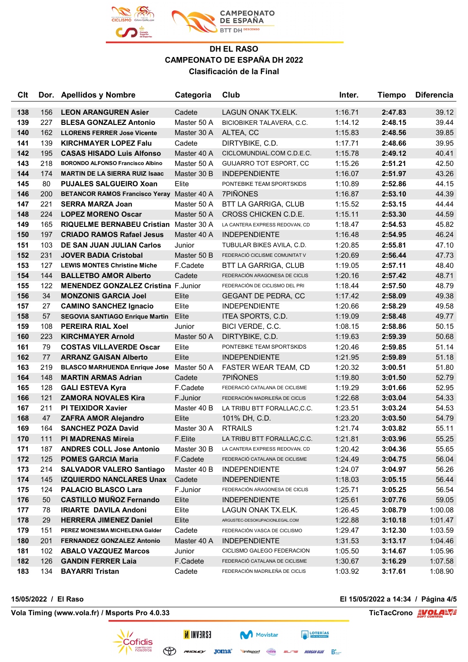

| <b>C<sub>It</sub></b> |     | Dor. Apellidos y Nombre                    | Categoria   | Club                             | Inter.  | <b>Tiempo</b> | <b>Diferencia</b> |
|-----------------------|-----|--------------------------------------------|-------------|----------------------------------|---------|---------------|-------------------|
| 138                   | 156 | <b>LEON ARANGUREN Asier</b>                | Cadete      | LAGUN ONAK TX.ELK.               | 1:16.71 | 2:47.83       | 39.12             |
| 139                   | 227 | <b>BLESA GONZALEZ Antonio</b>              | Master 50 A | <b>BICIOBIKER TALAVERA, C.C.</b> | 1:14.12 | 2:48.15       | 39.44             |
| 140                   | 162 | <b>LLORENS FERRER Jose Vicente</b>         | Master 30 A | ALTEA, CC                        | 1:15.83 | 2:48.56       | 39.85             |
| 141                   | 139 | <b>KIRCHMAYER LOPEZ Falu</b>               | Cadete      | DIRTYBIKE, C.D.                  | 1:17.71 | 2:48.66       | 39.95             |
| 142                   | 195 | <b>CASAS HISADO Luis Alfonso</b>           | Master 40 A | CICLOMUNDIAL.COM C.D.E.C.        | 1:15.78 | 2:49.12       | 40.41             |
| 143                   | 218 | <b>BORONDO ALFONSO Francisco Albino</b>    | Master 50 A | <b>GUIJARRO TOT ESPORT, CC</b>   | 1:15.26 | 2:51.21       | 42.50             |
| 144                   | 174 | <b>MARTIN DE LA SIERRA RUIZ Isaac</b>      | Master 30 B | <b>INDEPENDIENTE</b>             | 1:16.07 | 2:51.97       | 43.26             |
| 145                   | 80  | <b>PUJALES SALGUEIRO Xoan</b>              | Elite       | PONTEBIKE TEAM SPORTSKIDS        | 1:10.89 | 2:52.86       | 44.15             |
| 146                   | 200 | <b>BETANCOR RAMOS Francisco Yeray</b>      | Master 40 A | <b>7PIÑONES</b>                  | 1:16.87 | 2:53.10       | 44.39             |
| 147                   | 221 | <b>SERRA MARZA Joan</b>                    | Master 50 A | BTT LA GARRIGA, CLUB             | 1:15.52 | 2:53.15       | 44.44             |
| 148                   | 224 | <b>LOPEZ MORENO Oscar</b>                  | Master 50 A | CROSS CHICKEN C.D.E.             | 1:15.11 | 2:53.30       | 44.59             |
| 149                   | 165 | RIQUELME BERNABEU Cristian Master 30 A     |             | LA CANTERA EXPRESS REDOVAN, CD   | 1:18.47 | 2:54.53       | 45.82             |
| 150                   | 197 | <b>CRIADO RAMOS Rafael Jesus</b>           | Master 40 A | <b>INDEPENDIENTE</b>             | 1:16.48 | 2:54.95       | 46.24             |
| 151                   | 103 | DE SAN JUAN JULIAN Carlos                  | Junior      | TUBULAR BIKES AVILA, C.D.        | 1:20.85 | 2:55.81       | 47.10             |
| 152                   | 231 | <b>JOVER BADIA Cristobal</b>               | Master 50 B | FEDERACIÓ CICLISME COMUNITAT V   | 1:20.69 | 2:56.44       | 47.73             |
| 153                   | 127 | <b>LEWIS MONTES Christine Miche</b>        | F.Cadete    | <b>BTT LA GARRIGA, CLUB</b>      | 1:19.05 | 2:57.11       | 48.40             |
| 154                   | 144 | <b>BALLETBO AMOR Alberto</b>               | Cadete      | FEDERACIÓN ARAGONESA DE CICLIS   | 1:20.16 | 2:57.42       | 48.71             |
| 155                   | 122 | <b>MENENDEZ GONZALEZ Cristina F.Junior</b> |             | FEDERACIÓN DE CICLISMO DEL PRI   | 1:18.44 | 2:57.50       | 48.79             |
| 156                   | 34  | <b>MONZONIS GARCIA Joel</b>                | Elite       | <b>GEGANT DE PEDRA, CC</b>       | 1:17.42 | 2:58.09       | 49.38             |
| 157                   | 27  | <b>CAMINO SANCHEZ Ignacio</b>              | Elite       | <b>INDEPENDIENTE</b>             | 1:20.66 | 2:58.29       | 49.58             |
| 158                   | 57  | <b>SEGOVIA SANTIAGO Enrique Martin</b>     | Elite       | ITEA SPORTS, C.D.                | 1:19.09 | 2:58.48       | 49.77             |
| 159                   | 108 | <b>PEREIRA RIAL Xoel</b>                   | Junior      | BICI VERDE, C.C.                 | 1:08.15 | 2:58.86       | 50.15             |
| 160                   | 223 | <b>KIRCHMAYER Arnold</b>                   | Master 50 A | DIRTYBIKE, C.D.                  | 1:19.63 | 2:59.39       | 50.68             |
| 161                   | 79  | <b>COSTAS VILLAVERDE Oscar</b>             | Elite       | PONTEBIKE TEAM SPORTSKIDS        | 1:20.46 | 2:59.85       | 51.14             |
| 162                   | 77  | <b>ARRANZ GAISAN Alberto</b>               | Elite       | <b>INDEPENDIENTE</b>             | 1:21.95 | 2:59.89       | 51.18             |
| 163                   | 219 | BLASCO MARHUENDA Enrique Jose Master 50 A  |             | FASTER WEAR TEAM, CD             | 1:20.32 | 3:00.51       | 51.80             |
| 164                   | 148 | <b>MARTIN ARMAS Adrian</b>                 | Cadete      | 7PIÑONES                         | 1:19.80 | 3:01.50       | 52.79             |
| 165                   | 128 | <b>GALI ESTEVA Kyra</b>                    | F.Cadete    | FEDERACIÓ CATALANA DE CICLISME   | 1:19.29 | 3:01.66       | 52.95             |
| 166                   | 121 | <b>ZAMORA NOVALES Kira</b>                 | F.Junior    | FEDERACIÓN MADRILEÑA DE CICLIS   | 1:22.68 | 3:03.04       | 54.33             |
| 167                   | 211 | <b>PI TEIXIDOR Xavier</b>                  | Master 40 B | LA TRIBU BTT FORALLAC,C.C.       | 1:23.51 | 3:03.24       | 54.53             |
| 168                   | 47  | <b>ZAFRA AMOR Alejandro</b>                | Elite       | 101% DH, C.D.                    | 1:23.20 | 3:03.50       | 54.79             |
| 169                   | 164 | <b>SANCHEZ POZA David</b>                  | Master 30 A | <b>RTRAILS</b>                   | 1:21.74 | 3:03.82       | 55.11             |
| 170                   | 111 | <b>PI MADRENAS Mireia</b>                  | F.Elite     | LA TRIBU BTT FORALLAC.C.C.       | 1:21.81 | 3:03.96       | 55.25             |
| 171                   | 187 | <b>ANDRES COLL Jose Antonio</b>            | Master 30 B | LA CANTERA EXPRESS REDOVAN, CD   | 1:20.42 | 3:04.36       | 55.65             |
| 172                   | 125 | <b>POMES GARCIA Maria</b>                  | F.Cadete    | FEDERACIÓ CATALANA DE CICLISME   | 1:24.49 | 3:04.75       | 56.04             |
| 173                   | 214 | <b>SALVADOR VALERO Santiago</b>            | Master 40 B | <b>INDEPENDIENTE</b>             | 1:24.07 | 3:04.97       | 56.26             |
| 174                   | 145 | <b>IZQUIERDO NANCLARES Unax</b>            | Cadete      | <b>INDEPENDIENTE</b>             | 1:18.03 | 3:05.15       | 56.44             |
| 175                   | 124 | <b>PALACIO BLASCO Lara</b>                 | F.Junior    | FEDERACIÓN ARAGONESA DE CICLIS   | 1:25.71 | 3:05.25       | 56.54             |
| 176                   | 50  | <b>CASTILLO MUÑOZ Fernando</b>             | Elite       | <b>INDEPENDIENTE</b>             | 1:25.61 | 3:07.76       | 59.05             |
| 177                   | 78  | <b>IRIARTE DAVILA Andoni</b>               | Elite       | LAGUN ONAK TX.ELK.               | 1:26.45 | 3:08.79       | 1:00.08           |
| 178                   | 29  | <b>HERRERA JIMENEZ Daniel</b>              | Elite       | ARGUSTEC-DESOKUPACIONLEGAL.COM   | 1:22.88 | 3:10.18       | 1:01.47           |
| 179                   | 151 | PEREZ MONESMA MICHELENA Galder             | Cadete      | FEDERACIÓN VASCA DE CICLISMO     | 1:29.47 | 3:12.30       | 1:03.59           |
| 180                   | 201 | <b>FERNANDEZ GONZALEZ Antonio</b>          | Master 40 A | <b>INDEPENDIENTE</b>             | 1:31.53 | 3:13.17       | 1:04.46           |
| 181                   | 102 | <b>ABALO VAZQUEZ Marcos</b>                | Junior      | CICLISMO GALEGO FEDERACION       | 1:05.50 | 3:14.67       | 1:05.96           |
| 182                   | 126 | <b>GANDIN FERRER Laia</b>                  | F.Cadete    | FEDERACIÓ CATALANA DE CICLISME   | 1:30.67 | 3:16.29       | 1:07.58           |
| 183                   | 134 | <b>BAYARRI Tristan</b>                     | Cadete      | FEDERACIÓN MADRILEÑA DE CICLIS   | 1:03.92 | 3:17.61       | 1:08.90           |

**15/05/2022 / El Raso El 15/05/2022 a 14:34 / Página 4/5**

**Vola Timing (www.vola.fr) / Msports Pro 4.0.33 TicTacCrono EVOLAL** 



**INVERSE** 

 $\bigoplus$  revolution  $\mathsf{Joma}^*$ 

Movistar

**Vinfisport** Cazoria ELITE MORGAN BLUE BEAT

**EXECUTERIAS**